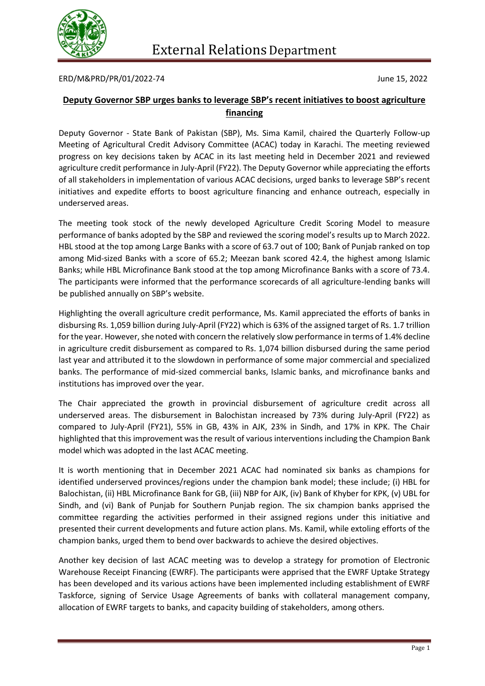

ERD/M&PRD/PR/01/2022-74 June 15, 2022

## **Deputy Governor SBP urges banks to leverage SBP's recent initiatives to boost agriculture financing**

Deputy Governor - State Bank of Pakistan (SBP), Ms. Sima Kamil, chaired the Quarterly Follow-up Meeting of Agricultural Credit Advisory Committee (ACAC) today in Karachi. The meeting reviewed progress on key decisions taken by ACAC in its last meeting held in December 2021 and reviewed agriculture credit performance in July-April (FY22). The Deputy Governor while appreciating the efforts of all stakeholders in implementation of various ACAC decisions, urged banks to leverage SBP's recent initiatives and expedite efforts to boost agriculture financing and enhance outreach, especially in underserved areas.

The meeting took stock of the newly developed Agriculture Credit Scoring Model to measure performance of banks adopted by the SBP and reviewed the scoring model's results up to March 2022. HBL stood at the top among Large Banks with a score of 63.7 out of 100; Bank of Punjab ranked on top among Mid-sized Banks with a score of 65.2; Meezan bank scored 42.4, the highest among Islamic Banks; while HBL Microfinance Bank stood at the top among Microfinance Banks with a score of 73.4. The participants were informed that the performance scorecards of all agriculture-lending banks will be published annually on SBP's website.

Highlighting the overall agriculture credit performance, Ms. Kamil appreciated the efforts of banks in disbursing Rs. 1,059 billion during July-April (FY22) which is 63% of the assigned target of Rs. 1.7 trillion for the year. However, she noted with concern the relatively slow performance in terms of 1.4% decline in agriculture credit disbursement as compared to Rs. 1,074 billion disbursed during the same period last year and attributed it to the slowdown in performance of some major commercial and specialized banks. The performance of mid-sized commercial banks, Islamic banks, and microfinance banks and institutions has improved over the year.

The Chair appreciated the growth in provincial disbursement of agriculture credit across all underserved areas. The disbursement in Balochistan increased by 73% during July-April (FY22) as compared to July-April (FY21), 55% in GB, 43% in AJK, 23% in Sindh, and 17% in KPK. The Chair highlighted that this improvement was the result of various interventions including the Champion Bank model which was adopted in the last ACAC meeting.

It is worth mentioning that in December 2021 ACAC had nominated six banks as champions for identified underserved provinces/regions under the champion bank model; these include; (i) HBL for Balochistan, (ii) HBL Microfinance Bank for GB, (iii) NBP for AJK, (iv) Bank of Khyber for KPK, (v) UBL for Sindh, and (vi) Bank of Punjab for Southern Punjab region. The six champion banks apprised the committee regarding the activities performed in their assigned regions under this initiative and presented their current developments and future action plans. Ms. Kamil, while extoling efforts of the champion banks, urged them to bend over backwards to achieve the desired objectives.

Another key decision of last ACAC meeting was to develop a strategy for promotion of Electronic Warehouse Receipt Financing (EWRF). The participants were apprised that the EWRF Uptake Strategy has been developed and its various actions have been implemented including establishment of EWRF Taskforce, signing of Service Usage Agreements of banks with collateral management company, allocation of EWRF targets to banks, and capacity building of stakeholders, among others.